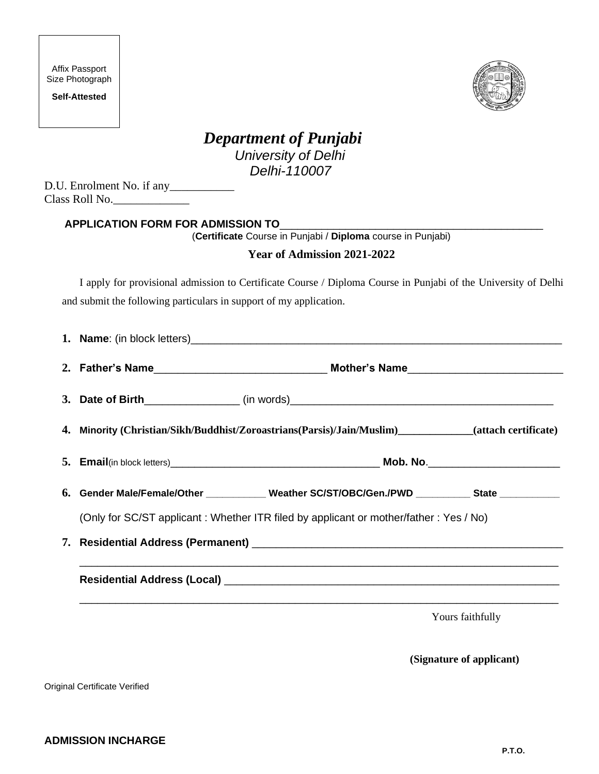| Affix Passport  |
|-----------------|
| Size Photograph |

**Self-Attested**



# *Department of Punjabi University of Delhi Delhi-110007*

D.U. Enrolment No. if any Class Roll No.\_\_\_\_\_\_\_\_\_\_\_\_\_

### **APPLICATION FORM FOR ADMISSION TO**\_\_\_\_\_\_\_\_\_\_\_\_\_\_\_\_\_\_\_\_\_\_\_\_\_\_\_\_\_\_\_\_\_\_\_\_\_\_\_\_\_\_\_\_

(**Certificate** Course in Punjabi / **Diploma** course in Punjabi)

#### **Year of Admission 2021-2022**

I apply for provisional admission to Certificate Course / Diploma Course in Punjabi of the University of Delhi and submit the following particulars in support of my application.

|                                                                                                                       | 3. Date of Birth___________________(in words)___________________________________                      |  |  |  |  |  |  |
|-----------------------------------------------------------------------------------------------------------------------|-------------------------------------------------------------------------------------------------------|--|--|--|--|--|--|
|                                                                                                                       | 4. Minority (Christian/Sikh/Buddhist/Zoroastrians(Parsis)/Jain/Muslim)___________(attach certificate) |  |  |  |  |  |  |
|                                                                                                                       |                                                                                                       |  |  |  |  |  |  |
|                                                                                                                       | 6. Gender Male/Female/Other ____________ Weather SC/ST/OBC/Gen./PWD __________ State ___________      |  |  |  |  |  |  |
|                                                                                                                       | (Only for SC/ST applicant: Whether ITR filed by applicant or mother/father: Yes / No)                 |  |  |  |  |  |  |
|                                                                                                                       |                                                                                                       |  |  |  |  |  |  |
| <u> 1989 - Johann Stoff, deutscher Stoff, der Stoff, der Stoff, der Stoff, der Stoff, der Stoff, der Stoff, der S</u> |                                                                                                       |  |  |  |  |  |  |
|                                                                                                                       | Yours faithfully                                                                                      |  |  |  |  |  |  |

 **(Signature of applicant)**

Original Certificate Verified